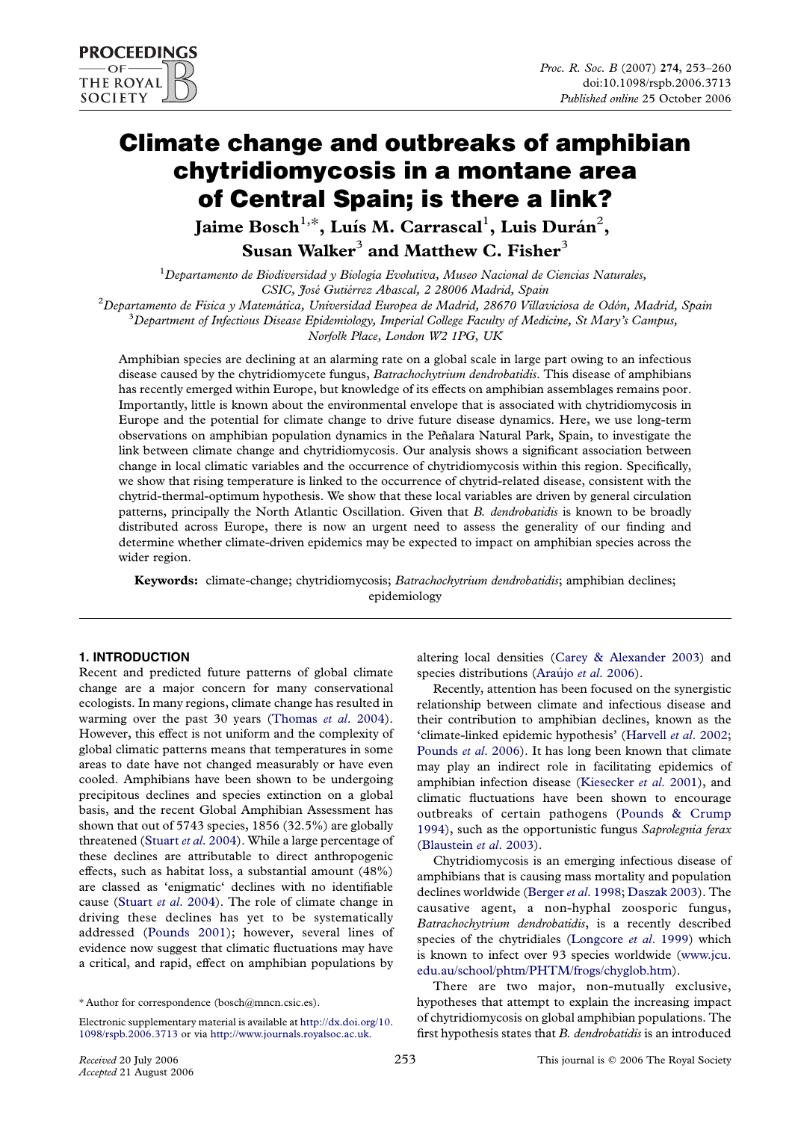# Climate change and outbreaks of amphibian chytridiomycosis in a montane area of Central Spain; is there a link?

Jaime Bosch $^{1,\ast}$ , Luís M. Carrascal $^{1}$ , Luis Durán $^{2}$ , Susan Walker<sup>3</sup> and Matthew C. Fisher<sup>3</sup>

 $^1$ Departamento de Biodiversidad y Biología Evolutiva, Museo Nacional de Ciencias Naturales,

CSIC, José Gutiérrez Abascal, 2 28006 Madrid, Spain<br><sup>2</sup> Departemento de Física y Matemática, Universidad Furopea de Madrid, 28670 Villae

Departamento de Fisica y Matemática, Universidad Europea de Madrid, 28670 Villaviciosa de Odón, Madrid, Spain<br><sup>3</sup> Department of Infectious Disease Etidemicleau, Imperial Cellege Equiliu of Medicine, St. Mami'e Campus  ${}^{3}$ Department of Infectious Disease Epidemiology, Imperial College Faculty of Medicine, St Mary's Campus,

Norfolk Place, London W2 1PG, UK

Amphibian species are declining at an alarming rate on a global scale in large part owing to an infectious disease caused by the chytridiomycete fungus, Batrachochytrium dendrobatidis. This disease of amphibians has recently emerged within Europe, but knowledge of its effects on amphibian assemblages remains poor. Importantly, little is known about the environmental envelope that is associated with chytridiomycosis in Europe and the potential for climate change to drive future disease dynamics. Here, we use long-term observations on amphibian population dynamics in the Peñalara Natural Park, Spain, to investigate the link between climate change and chytridiomycosis. Our analysis shows a significant association between change in local climatic variables and the occurrence of chytridiomycosis within this region. Specifically, we show that rising temperature is linked to the occurrence of chytrid-related disease, consistent with the chytrid-thermal-optimum hypothesis. We show that these local variables are driven by general circulation patterns, principally the North Atlantic Oscillation. Given that B. dendrobatidis is known to be broadly distributed across Europe, there is now an urgent need to assess the generality of our finding and determine whether climate-driven epidemics may be expected to impact on amphibian species across the wider region.

Keywords: climate-change; chytridiomycosis; Batrachochytrium dendrobatidis; amphibian declines; epidemiology

## 1. INTRODUCTION

Recent and predicted future patterns of global climate change are a major concern for many conservational ecologists. In many regions, climate change has resulted in warming over the past 30 years [\(Thomas](#page-7-0) et al. 2004). However, this effect is not uniform and the complexity of global climatic patterns means that temperatures in some areas to date have not changed measurably or have even cooled. Amphibians have been shown to be undergoing precipitous declines and species extinction on a global basis, and the recent Global Amphibian Assessment has shown that out of 5743 species, 1856 (32.5%) are globally threatened (Stuart et al[. 2004\)](#page-7-0). While a large percentage of these declines are attributable to direct anthropogenic effects, such as habitat loss, a substantial amount (48%) are classed as 'enigmatic' declines with no identifiable cause (Stuart et al[. 2004\)](#page-7-0). The role of climate change in driving these declines has yet to be systematically addressed ([Pounds 2001](#page-7-0)); however, several lines of evidence now suggest that climatic fluctuations may have a critical, and rapid, effect on amphibian populations by

altering local densities [\(Carey & Alexander 2003\)](#page-7-0) and species distributions (Araújo et al. 2006).

Recently, attention has been focused on the synergistic relationship between climate and infectious disease and their contribution to amphibian declines, known as the 'climate-linked epidemic hypothesis' [\(Harvell](#page-7-0) et al. 2002; [Pounds](#page-7-0) et al. 2006). It has long been known that climate may play an indirect role in facilitating epidemics of amphibian infection disease [\(Kiesecker](#page-7-0) et al. 2001), and climatic fluctuations have been shown to encourage outbreaks of certain pathogens ([Pounds & Crump](#page-7-0) [1994](#page-7-0)), such as the opportunistic fungus Saprolegnia ferax ([Blaustein](#page-6-0) et al. 2003).

Chytridiomycosis is an emerging infectious disease of amphibians that is causing mass mortality and population declines worldwide ([Berger](#page-6-0) et al. 1998; [Daszak 2003](#page-7-0)). The causative agent, a non-hyphal zoosporic fungus, Batrachochytrium dendrobatidis, is a recently described species of the chytridiales [\(Longcore](#page-7-0) et al. 1999) which is known to infect over 93 species worldwide ([www.jcu.](http://www.jcu.edu.au/school/phtm/PHTM/frogs/chyglob.htm) [edu.au/school/phtm/PHTM/frogs/chyglob.htm\)](http://www.jcu.edu.au/school/phtm/PHTM/frogs/chyglob.htm).

There are two major, non-mutually exclusive, hypotheses that attempt to explain the increasing impact of chytridiomycosis on global amphibian populations. The first hypothesis states that B. dendrobatidis is an introduced

<sup>\*</sup> Author for correspondence (bosch@mncn.csic.es).

Electronic supplementary material is available at [http://dx.doi.org/10.](http://dx.doi.org/10.1098/rspb.2006.3713) [1098/rspb.2006.3713](http://dx.doi.org/10.1098/rspb.2006.3713) or via <http://www.journals.royalsoc.ac.uk>.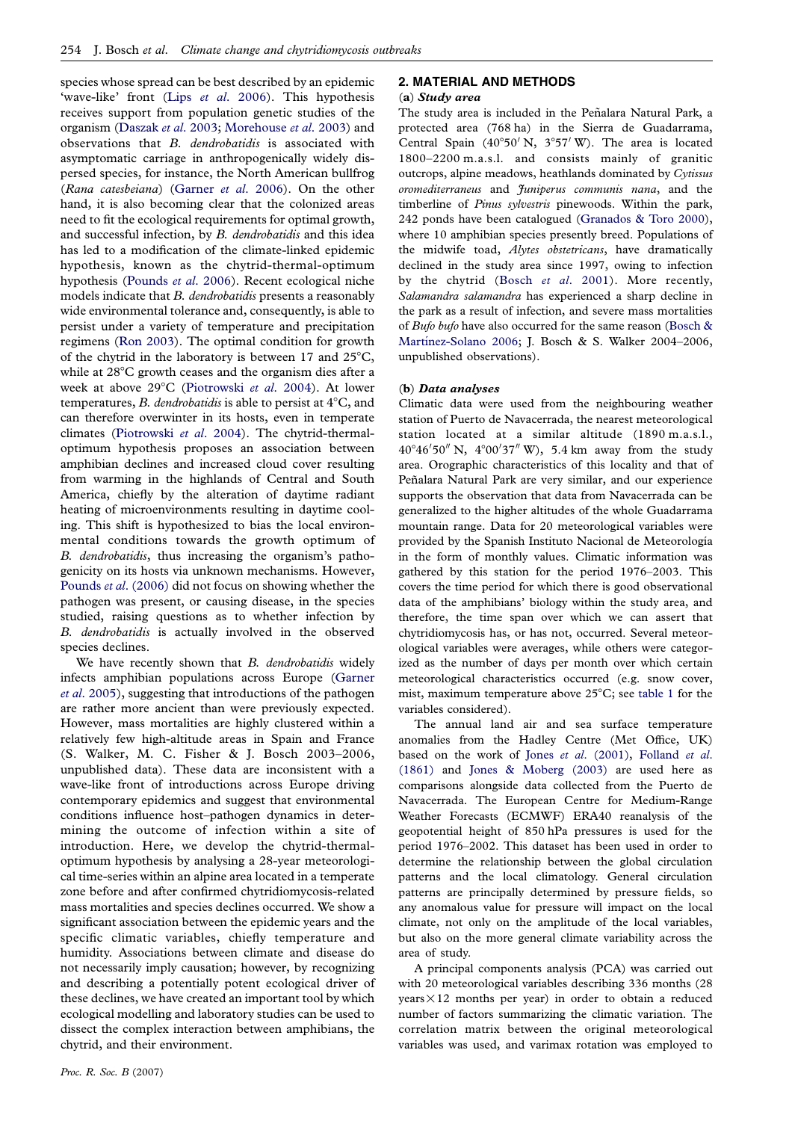species whose spread can be best described by an epidemic 'wave-like' front (Lips et al[. 2006](#page-7-0)). This hypothesis receives support from population genetic studies of the organism [\(Daszak](#page-7-0) et al. 2003; [Morehouse](#page-7-0) et al. 2003) and observations that B. dendrobatidis is associated with asymptomatic carriage in anthropogenically widely dispersed species, for instance, the North American bullfrog (Rana catesbeiana) [\(Garner](#page-7-0) et al. 2006). On the other hand, it is also becoming clear that the colonized areas need to fit the ecological requirements for optimal growth, and successful infection, by B. dendrobatidis and this idea has led to a modification of the climate-linked epidemic hypothesis, known as the chytrid-thermal-optimum hypothesis [\(Pounds](#page-7-0) et al. 2006). Recent ecological niche models indicate that B. dendrobatidis presents a reasonably wide environmental tolerance and, consequently, is able to persist under a variety of temperature and precipitation regimens [\(Ron 2003\)](#page-7-0). The optimal condition for growth of the chytrid in the laboratory is between 17 and  $25^{\circ}$ C, while at  $28^{\circ}$ C growth ceases and the organism dies after a week at above 29°C ([Piotrowski](#page-7-0) et al. 2004). At lower temperatures, B. dendrobatidis is able to persist at  $4^{\circ}C$ , and can therefore overwinter in its hosts, even in temperate climates [\(Piotrowski](#page-7-0) et al. 2004). The chytrid-thermaloptimum hypothesis proposes an association between amphibian declines and increased cloud cover resulting from warming in the highlands of Central and South America, chiefly by the alteration of daytime radiant heating of microenvironments resulting in daytime cooling. This shift is hypothesized to bias the local environmental conditions towards the growth optimum of B. dendrobatidis, thus increasing the organism's pathogenicity on its hosts via unknown mechanisms. However, Pounds et al[. \(2006\)](#page-7-0) did not focus on showing whether the pathogen was present, or causing disease, in the species studied, raising questions as to whether infection by B. dendrobatidis is actually involved in the observed species declines.

We have recently shown that B. dendrobatidis widely infects amphibian populations across Europe ([Garner](#page-7-0) et al[. 2005](#page-7-0)), suggesting that introductions of the pathogen are rather more ancient than were previously expected. However, mass mortalities are highly clustered within a relatively few high-altitude areas in Spain and France (S. Walker, M. C. Fisher & J. Bosch 2003–2006, unpublished data). These data are inconsistent with a wave-like front of introductions across Europe driving contemporary epidemics and suggest that environmental conditions influence host–pathogen dynamics in determining the outcome of infection within a site of introduction. Here, we develop the chytrid-thermaloptimum hypothesis by analysing a 28-year meteorological time-series within an alpine area located in a temperate zone before and after confirmed chytridiomycosis-related mass mortalities and species declines occurred. We show a significant association between the epidemic years and the specific climatic variables, chiefly temperature and humidity. Associations between climate and disease do not necessarily imply causation; however, by recognizing and describing a potentially potent ecological driver of these declines, we have created an important tool by which ecological modelling and laboratory studies can be used to dissect the complex interaction between amphibians, the chytrid, and their environment.

# 2. MATERIAL AND METHODS

(a) Study area

The study area is included in the Peñalara Natural Park, a protected area (768 ha) in the Sierra de Guadarrama, Central Spain  $(40^{\circ}50' \text{ N}, 3^{\circ}57' \text{ W})$ . The area is located 1800–2200 m.a.s.l. and consists mainly of granitic outcrops, alpine meadows, heathlands dominated by Cytissus oromediterraneus and Juniperus communis nana, and the timberline of Pinus sylvestris pinewoods. Within the park, 242 ponds have been catalogued [\(Granados & Toro 2000](#page-7-0)), where 10 amphibian species presently breed. Populations of the midwife toad, Alytes obstetricans, have dramatically declined in the study area since 1997, owing to infection by the chytrid (Bosch et al[. 2001\)](#page-7-0). More recently, Salamandra salamandra has experienced a sharp decline in the park as a result of infection, and severe mass mortalities of Bufo bufo have also occurred for the same reason ([Bosch &](#page-7-0) Martínez-Solano 2006; J. Bosch & S. Walker 2004-2006, unpublished observations).

#### (b) Data analyses

Climatic data were used from the neighbouring weather station of Puerto de Navacerrada, the nearest meteorological station located at a similar altitude (1890 m.a.s.l.,  $40^{\circ}46'50''$  N,  $4^{\circ}00'37''$  W), 5.4 km away from the study area. Orographic characteristics of this locality and that of Peñalara Natural Park are very similar, and our experience supports the observation that data from Navacerrada can be generalized to the higher altitudes of the whole Guadarrama mountain range. Data for 20 meteorological variables were provided by the Spanish Instituto Nacional de Meteorología in the form of monthly values. Climatic information was gathered by this station for the period 1976–2003. This covers the time period for which there is good observational data of the amphibians' biology within the study area, and therefore, the time span over which we can assert that chytridiomycosis has, or has not, occurred. Several meteorological variables were averages, while others were categorized as the number of days per month over which certain meteorological characteristics occurred (e.g. snow cover, mist, maximum temperature above  $25^{\circ}$ C; see [table 1](#page-2-0) for the variables considered).

The annual land air and sea surface temperature anomalies from the Hadley Centre (Met Office, UK) based on the work of Jones et al[. \(2001\),](#page-7-0) [Folland](#page-7-0) et al. [\(1861\)](#page-7-0) and [Jones & Moberg \(2003\)](#page-7-0) are used here as comparisons alongside data collected from the Puerto de Navacerrada. The European Centre for Medium-Range Weather Forecasts (ECMWF) ERA40 reanalysis of the geopotential height of 850 hPa pressures is used for the period 1976–2002. This dataset has been used in order to determine the relationship between the global circulation patterns and the local climatology. General circulation patterns are principally determined by pressure fields, so any anomalous value for pressure will impact on the local climate, not only on the amplitude of the local variables, but also on the more general climate variability across the area of study.

A principal components analysis (PCA) was carried out with 20 meteorological variables describing 336 months (28  $years \times 12$  months per year) in order to obtain a reduced number of factors summarizing the climatic variation. The correlation matrix between the original meteorological variables was used, and varimax rotation was employed to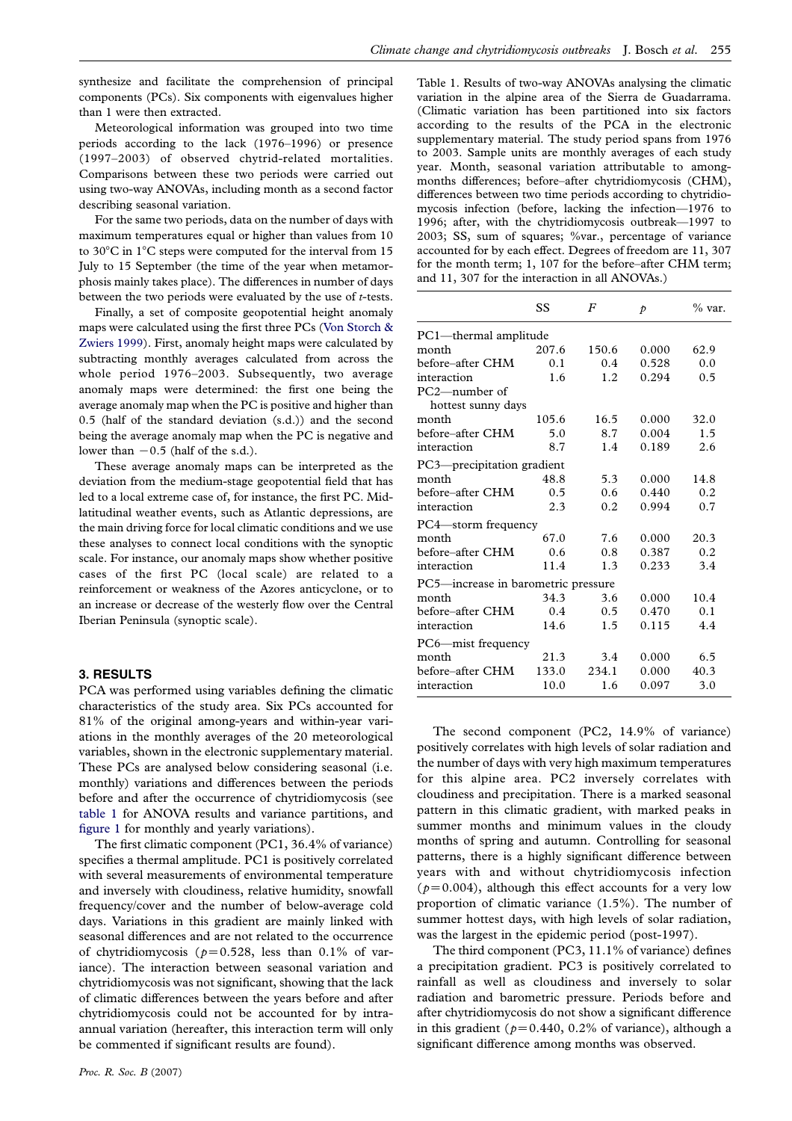<span id="page-2-0"></span>synthesize and facilitate the comprehension of principal components (PCs). Six components with eigenvalues higher than 1 were then extracted.

Meteorological information was grouped into two time periods according to the lack (1976–1996) or presence (1997–2003) of observed chytrid-related mortalities. Comparisons between these two periods were carried out using two-way ANOVAs, including month as a second factor describing seasonal variation.

For the same two periods, data on the number of days with maximum temperatures equal or higher than values from 10 to  $30^{\circ}$ C in  $1^{\circ}$ C steps were computed for the interval from 15 July to 15 September (the time of the year when metamorphosis mainly takes place). The differences in number of days between the two periods were evaluated by the use of t-tests.

Finally, a set of composite geopotential height anomaly maps were calculated using the first three PCs ([Von Storch &](#page-7-0) [Zwiers 1999\)](#page-7-0). First, anomaly height maps were calculated by subtracting monthly averages calculated from across the whole period 1976–2003. Subsequently, two average anomaly maps were determined: the first one being the average anomaly map when the PC is positive and higher than 0.5 (half of the standard deviation (s.d.)) and the second being the average anomaly map when the PC is negative and lower than  $-0.5$  (half of the s.d.).

These average anomaly maps can be interpreted as the deviation from the medium-stage geopotential field that has led to a local extreme case of, for instance, the first PC. Midlatitudinal weather events, such as Atlantic depressions, are the main driving force for local climatic conditions and we use these analyses to connect local conditions with the synoptic scale. For instance, our anomaly maps show whether positive cases of the first PC (local scale) are related to a reinforcement or weakness of the Azores anticyclone, or to an increase or decrease of the westerly flow over the Central Iberian Peninsula (synoptic scale).

#### 3. RESULTS

PCA was performed using variables defining the climatic characteristics of the study area. Six PCs accounted for 81% of the original among-years and within-year variations in the monthly averages of the 20 meteorological variables, shown in the electronic supplementary material. These PCs are analysed below considering seasonal (i.e. monthly) variations and differences between the periods before and after the occurrence of chytridiomycosis (see table 1 for ANOVA results and variance partitions, and [figure 1](#page-3-0) for monthly and yearly variations).

The first climatic component (PC1, 36.4% of variance) specifies a thermal amplitude. PC1 is positively correlated with several measurements of environmental temperature and inversely with cloudiness, relative humidity, snowfall frequency/cover and the number of below-average cold days. Variations in this gradient are mainly linked with seasonal differences and are not related to the occurrence of chytridiomycosis ( $p=0.528$ , less than 0.1% of variance). The interaction between seasonal variation and chytridiomycosis was not significant, showing that the lack of climatic differences between the years before and after chytridiomycosis could not be accounted for by intraannual variation (hereafter, this interaction term will only be commented if significant results are found).

Table 1. Results of two-way ANOVAs analysing the climatic variation in the alpine area of the Sierra de Guadarrama. (Climatic variation has been partitioned into six factors according to the results of the PCA in the electronic supplementary material. The study period spans from 1976 to 2003. Sample units are monthly averages of each study year. Month, seasonal variation attributable to amongmonths differences; before–after chytridiomycosis (CHM), differences between two time periods according to chytridiomycosis infection (before, lacking the infection—1976 to 1996; after, with the chytridiomycosis outbreak—1997 to 2003; SS, sum of squares; %var., percentage of variance accounted for by each effect. Degrees of freedom are 11, 307 for the month term; 1, 107 for the before–after CHM term; and 11, 307 for the interaction in all ANOVAs.)

|                                     | SS    | $_{F}$ | $\mathcal{P}$ | % var. |
|-------------------------------------|-------|--------|---------------|--------|
| PC1-thermal amplitude               |       |        |               |        |
| month                               | 207.6 | 150.6  | 0.000         | 62.9   |
| before-after CHM                    | 0.1   | 0.4    | 0.528         | 0.0    |
| interaction                         | 1.6   | 1.2    | 0.294         | 0.5    |
| PC2—number of                       |       |        |               |        |
| hottest sunny days                  |       |        |               |        |
| month                               | 105.6 | 16.5   | 0.000         | 32.0   |
| before–after CHM                    | 5.0   | 8.7    | 0.004         | 1.5    |
| interaction                         | 8.7   | 1.4    | 0.189         | 2.6    |
| PC3—precipitation gradient          |       |        |               |        |
| month                               | 48.8  | 5.3    | 0.000         | 14.8   |
| before-after CHM                    | 0.5   | 0.6    | 0.440         | 0.2    |
| interaction                         | 2.3   | 0.2    | 0.994         | 0.7    |
| PC4—storm frequency                 |       |        |               |        |
| month                               | 67.0  | 7.6    | 0.000         | 20.3   |
| before-after CHM                    | 0.6   | 0.8    | 0.387         | 0.2    |
| interaction                         | 11.4  | 1.3    | 0.233         | 3.4    |
| PC5-increase in barometric pressure |       |        |               |        |
| month                               | 34.3  | 3.6    | 0.000         | 10.4   |
| before–after CHM                    | 0.4   | 0.5    | 0.470         | 0.1    |
| interaction                         | 14.6  | 1.5    | 0.115         | 4.4    |
| PC6—mist frequency                  |       |        |               |        |
| month                               | 21.3  | 3.4    | 0.000         | 6.5    |
| before–after CHM                    | 133.0 | 234.1  | 0.000         | 40.3   |
| interaction                         | 10.0  | 1.6    | 0.097         | 3.0    |

The second component (PC2, 14.9% of variance) positively correlates with high levels of solar radiation and the number of days with very high maximum temperatures for this alpine area. PC2 inversely correlates with cloudiness and precipitation. There is a marked seasonal pattern in this climatic gradient, with marked peaks in summer months and minimum values in the cloudy months of spring and autumn. Controlling for seasonal patterns, there is a highly significant difference between years with and without chytridiomycosis infection  $(p=0.004)$ , although this effect accounts for a very low proportion of climatic variance (1.5%). The number of summer hottest days, with high levels of solar radiation, was the largest in the epidemic period (post-1997).

The third component (PC3, 11.1% of variance) defines a precipitation gradient. PC3 is positively correlated to rainfall as well as cloudiness and inversely to solar radiation and barometric pressure. Periods before and after chytridiomycosis do not show a significant difference in this gradient ( $p=0.440$ , 0.2% of variance), although a significant difference among months was observed.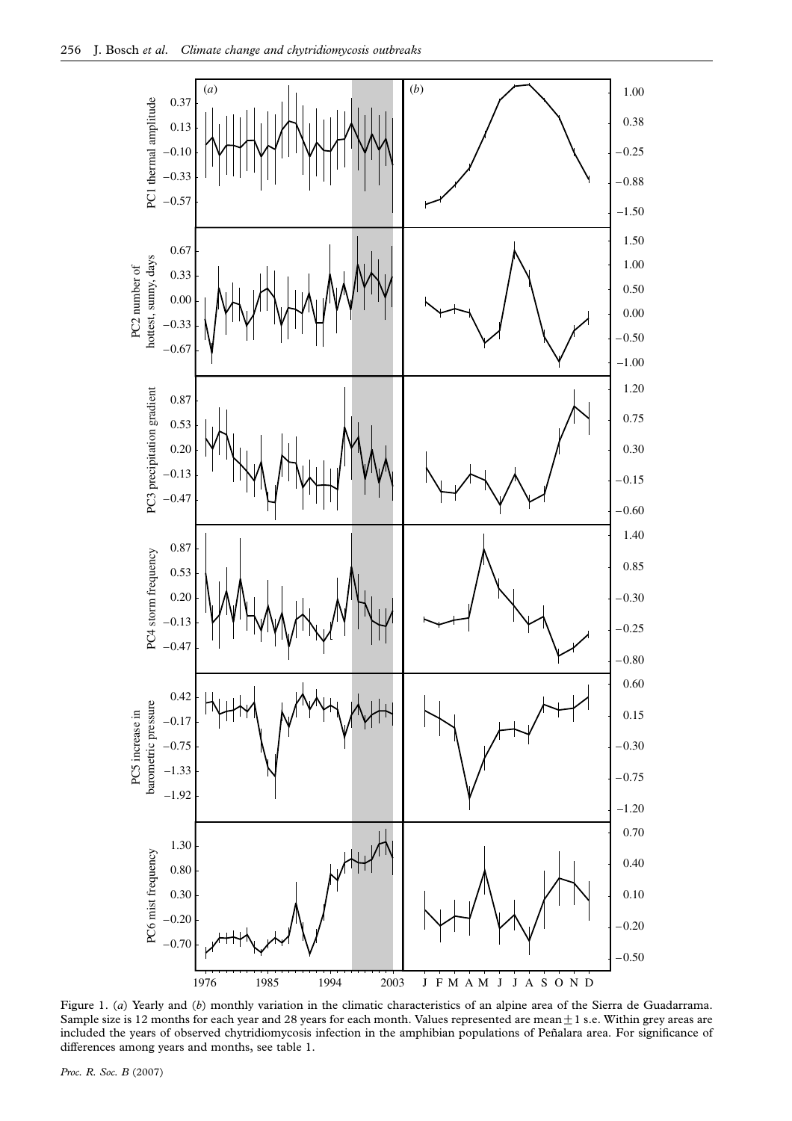<span id="page-3-0"></span>

Figure 1. (a) Yearly and (b) monthly variation in the climatic characteristics of an alpine area of the Sierra de Guadarrama. Sample size is 12 months for each year and 28 years for each month. Values represented are mean $\pm$ 1 s.e. Within grey areas are included the years of observed chytridiomycosis infection in the amphibian populations of Peñalara area. For significance of differences among years and months, see table 1.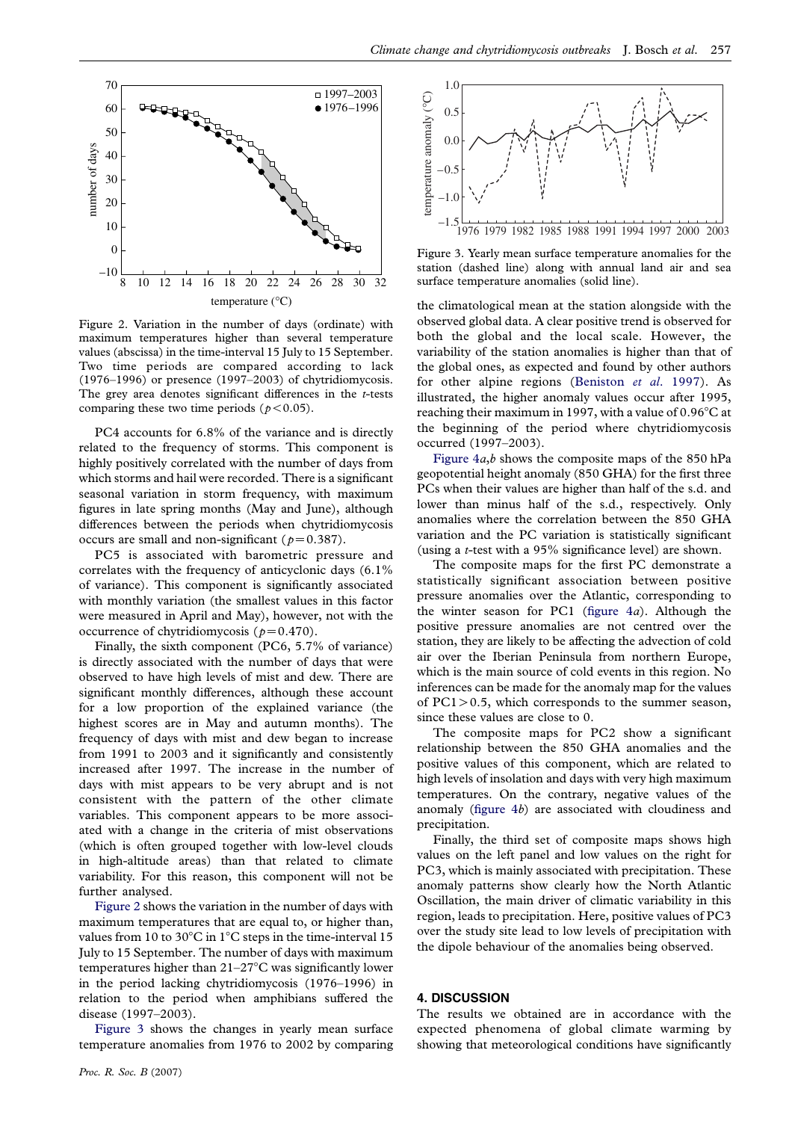

Figure 2. Variation in the number of days (ordinate) with maximum temperatures higher than several temperature values (abscissa) in the time-interval 15 July to 15 September. Two time periods are compared according to lack (1976–1996) or presence (1997–2003) of chytridiomycosis. The grey area denotes significant differences in the  $t$ -tests comparing these two time periods ( $p < 0.05$ ).

PC4 accounts for 6.8% of the variance and is directly related to the frequency of storms. This component is highly positively correlated with the number of days from which storms and hail were recorded. There is a significant seasonal variation in storm frequency, with maximum figures in late spring months (May and June), although differences between the periods when chytridiomycosis occurs are small and non-significant ( $p=0.387$ ).

PC5 is associated with barometric pressure and correlates with the frequency of anticyclonic days (6.1% of variance). This component is significantly associated with monthly variation (the smallest values in this factor were measured in April and May), however, not with the occurrence of chytridiomycosis ( $p=0.470$ ).

Finally, the sixth component (PC6, 5.7% of variance) is directly associated with the number of days that were observed to have high levels of mist and dew. There are significant monthly differences, although these account for a low proportion of the explained variance (the highest scores are in May and autumn months). The frequency of days with mist and dew began to increase from 1991 to 2003 and it significantly and consistently increased after 1997. The increase in the number of days with mist appears to be very abrupt and is not consistent with the pattern of the other climate variables. This component appears to be more associated with a change in the criteria of mist observations (which is often grouped together with low-level clouds in high-altitude areas) than that related to climate variability. For this reason, this component will not be further analysed.

Figure 2 shows the variation in the number of days with maximum temperatures that are equal to, or higher than, values from 10 to 30 $^{\circ}$ C in 1 $^{\circ}$ C steps in the time-interval 15 July to 15 September. The number of days with maximum temperatures higher than  $21-27^{\circ}$ C was significantly lower in the period lacking chytridiomycosis (1976–1996) in relation to the period when amphibians suffered the disease (1997–2003).

Figure 3 shows the changes in yearly mean surface temperature anomalies from 1976 to 2002 by comparing



Figure 3. Yearly mean surface temperature anomalies for the station (dashed line) along with annual land air and sea surface temperature anomalies (solid line).

the climatological mean at the station alongside with the observed global data. A clear positive trend is observed for both the global and the local scale. However, the variability of the station anomalies is higher than that of the global ones, as expected and found by other authors for other alpine regions ([Beniston](#page-6-0) et al. 1997). As illustrated, the higher anomaly values occur after 1995, reaching their maximum in 1997, with a value of  $0.96^{\circ}$ C at the beginning of the period where chytridiomycosis occurred (1997–2003).

Figure  $4a,b$  shows the composite maps of the 850 hPa geopotential height anomaly (850 GHA) for the first three PCs when their values are higher than half of the s.d. and lower than minus half of the s.d., respectively. Only anomalies where the correlation between the 850 GHA variation and the PC variation is statistically significant (using a t-test with a 95% significance level) are shown.

The composite maps for the first PC demonstrate a statistically significant association between positive pressure anomalies over the Atlantic, corresponding to the winter season for PC1 (figure  $4a$ ). Although the positive pressure anomalies are not centred over the station, they are likely to be affecting the advection of cold air over the Iberian Peninsula from northern Europe, which is the main source of cold events in this region. No inferences can be made for the anomaly map for the values of  $PC1 > 0.5$ , which corresponds to the summer season, since these values are close to 0.

The composite maps for PC2 show a significant relationship between the 850 GHA anomalies and the positive values of this component, which are related to high levels of insolation and days with very high maximum temperatures. On the contrary, negative values of the anomaly [\(figure 4](#page-5-0)b) are associated with cloudiness and precipitation.

Finally, the third set of composite maps shows high values on the left panel and low values on the right for PC3, which is mainly associated with precipitation. These anomaly patterns show clearly how the North Atlantic Oscillation, the main driver of climatic variability in this region, leads to precipitation. Here, positive values of PC3 over the study site lead to low levels of precipitation with the dipole behaviour of the anomalies being observed.

## 4. DISCUSSION

The results we obtained are in accordance with the expected phenomena of global climate warming by showing that meteorological conditions have significantly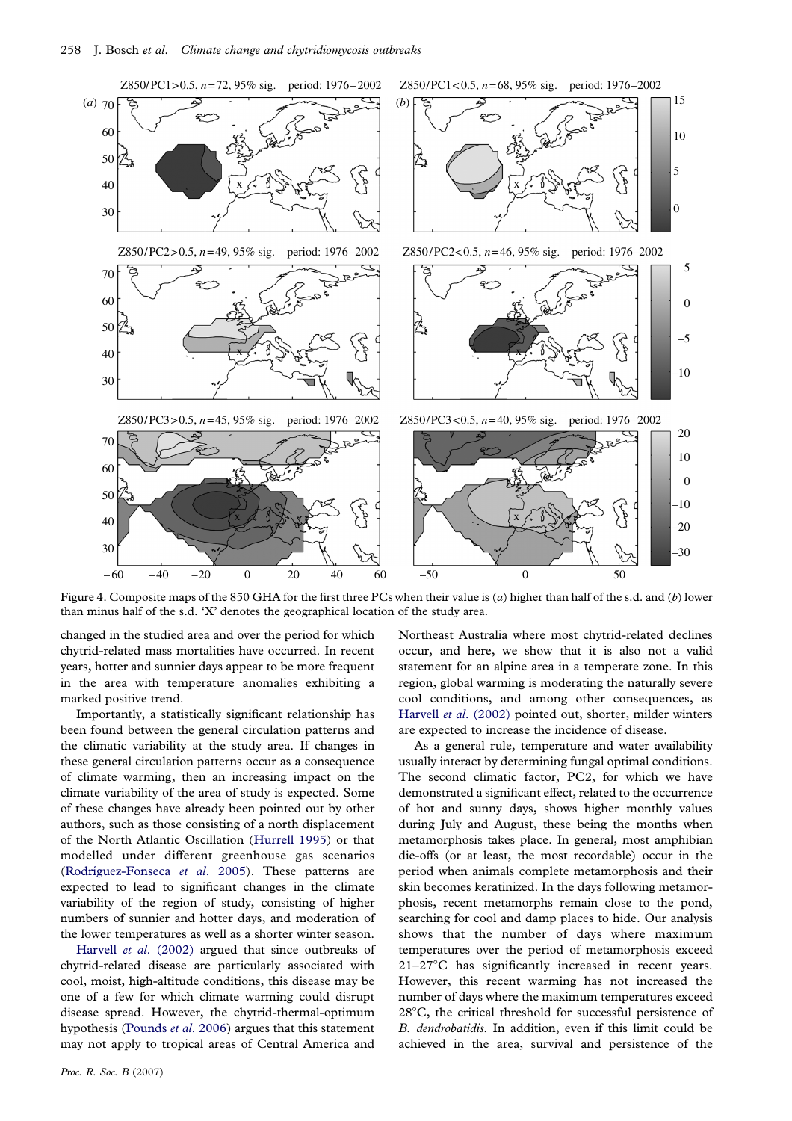<span id="page-5-0"></span>

Figure 4. Composite maps of the 850 GHA for the first three PCs when their value is (a) higher than half of the s.d. and (b) lower than minus half of the s.d. 'X' denotes the geographical location of the study area.

changed in the studied area and over the period for which chytrid-related mass mortalities have occurred. In recent years, hotter and sunnier days appear to be more frequent in the area with temperature anomalies exhibiting a marked positive trend.

Importantly, a statistically significant relationship has been found between the general circulation patterns and the climatic variability at the study area. If changes in these general circulation patterns occur as a consequence of climate warming, then an increasing impact on the climate variability of the area of study is expected. Some of these changes have already been pointed out by other authors, such as those consisting of a north displacement of the North Atlantic Oscillation ([Hurrell 1995](#page-7-0)) or that modelled under different greenhouse gas scenarios (Rodríguez-Fonseca et al. 2005). These patterns are expected to lead to significant changes in the climate variability of the region of study, consisting of higher numbers of sunnier and hotter days, and moderation of the lower temperatures as well as a shorter winter season.

Harvell et al[. \(2002\)](#page-7-0) argued that since outbreaks of chytrid-related disease are particularly associated with cool, moist, high-altitude conditions, this disease may be one of a few for which climate warming could disrupt disease spread. However, the chytrid-thermal-optimum hypothesis ([Pounds](#page-7-0) et al. 2006) argues that this statement may not apply to tropical areas of Central America and

Proc. R. Soc. B (2007)

Northeast Australia where most chytrid-related declines occur, and here, we show that it is also not a valid statement for an alpine area in a temperate zone. In this region, global warming is moderating the naturally severe cool conditions, and among other consequences, as Harvell et al[. \(2002\)](#page-7-0) pointed out, shorter, milder winters are expected to increase the incidence of disease.

As a general rule, temperature and water availability usually interact by determining fungal optimal conditions. The second climatic factor, PC2, for which we have demonstrated a significant effect, related to the occurrence of hot and sunny days, shows higher monthly values during July and August, these being the months when metamorphosis takes place. In general, most amphibian die-offs (or at least, the most recordable) occur in the period when animals complete metamorphosis and their skin becomes keratinized. In the days following metamorphosis, recent metamorphs remain close to the pond, searching for cool and damp places to hide. Our analysis shows that the number of days where maximum temperatures over the period of metamorphosis exceed  $21-27$ °C has significantly increased in recent years. However, this recent warming has not increased the number of days where the maximum temperatures exceed  $28^{\circ}$ C, the critical threshold for successful persistence of B. dendrobatidis. In addition, even if this limit could be achieved in the area, survival and persistence of the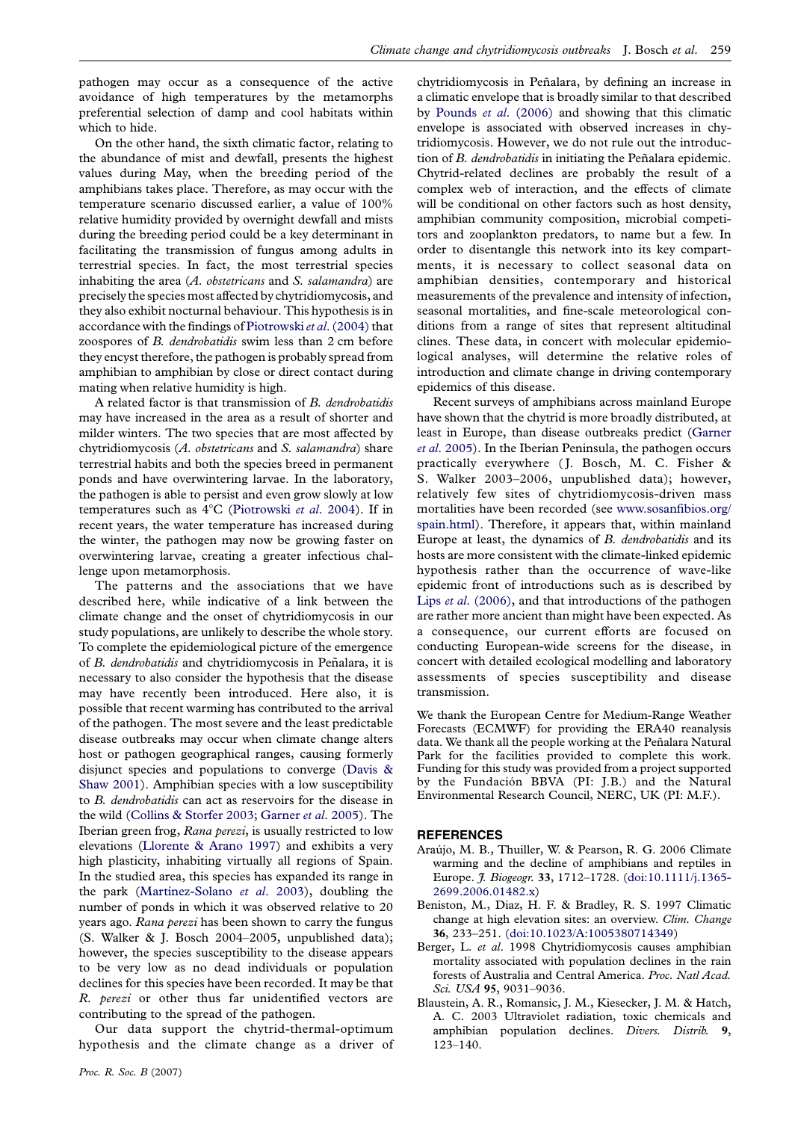<span id="page-6-0"></span>pathogen may occur as a consequence of the active avoidance of high temperatures by the metamorphs preferential selection of damp and cool habitats within which to hide.

On the other hand, the sixth climatic factor, relating to the abundance of mist and dewfall, presents the highest values during May, when the breeding period of the amphibians takes place. Therefore, as may occur with the temperature scenario discussed earlier, a value of 100% relative humidity provided by overnight dewfall and mists during the breeding period could be a key determinant in facilitating the transmission of fungus among adults in terrestrial species. In fact, the most terrestrial species inhabiting the area  $(A.$  obstetricans and S. salamandra) are precisely the species most affected by chytridiomycosis, and they also exhibit nocturnal behaviour. This hypothesis is in accordance with the findings of [Piotrowski](#page-7-0) et al. (2004) that zoospores of B. dendrobatidis swim less than 2 cm before they encyst therefore, the pathogen is probably spread from amphibian to amphibian by close or direct contact during mating when relative humidity is high.

A related factor is that transmission of B. dendrobatidis may have increased in the area as a result of shorter and milder winters. The two species that are most affected by chytridiomycosis (A. obstetricans and S. salamandra) share terrestrial habits and both the species breed in permanent ponds and have overwintering larvae. In the laboratory, the pathogen is able to persist and even grow slowly at low temperatures such as  $4^{\circ}$ C ([Piotrowski](#page-7-0) et al. 2004). If in recent years, the water temperature has increased during the winter, the pathogen may now be growing faster on overwintering larvae, creating a greater infectious challenge upon metamorphosis.

The patterns and the associations that we have described here, while indicative of a link between the climate change and the onset of chytridiomycosis in our study populations, are unlikely to describe the whole story. To complete the epidemiological picture of the emergence of B. dendrobatidis and chytridiomycosis in Peñalara, it is necessary to also consider the hypothesis that the disease may have recently been introduced. Here also, it is possible that recent warming has contributed to the arrival of the pathogen. The most severe and the least predictable disease outbreaks may occur when climate change alters host or pathogen geographical ranges, causing formerly disjunct species and populations to converge [\(Davis &](#page-7-0) [Shaw 2001\)](#page-7-0). Amphibian species with a low susceptibility to B. dendrobatidis can act as reservoirs for the disease in the wild ([Collins & Storfer 2003;](#page-7-0) [Garner](#page-7-0) et al. 2005). The Iberian green frog, Rana perezi, is usually restricted to low elevations [\(Llorente & Arano 1997](#page-7-0)) and exhibits a very high plasticity, inhabiting virtually all regions of Spain. In the studied area, this species has expanded its range in the park (Martinez-Solano *et al.* 2003), doubling the number of ponds in which it was observed relative to 20 years ago. Rana perezi has been shown to carry the fungus (S. Walker & J. Bosch 2004–2005, unpublished data); however, the species susceptibility to the disease appears to be very low as no dead individuals or population declines for this species have been recorded. It may be that R. perezi or other thus far unidentified vectors are contributing to the spread of the pathogen.

Our data support the chytrid-thermal-optimum hypothesis and the climate change as a driver of

chytridiomycosis in Peñalara, by defining an increase in a climatic envelope that is broadly similar to that described by Pounds et al[. \(2006\)](#page-7-0) and showing that this climatic envelope is associated with observed increases in chytridiomycosis. However, we do not rule out the introduction of B. *dendrobatidis* in initiating the Peñalara epidemic. Chytrid-related declines are probably the result of a complex web of interaction, and the effects of climate will be conditional on other factors such as host density, amphibian community composition, microbial competitors and zooplankton predators, to name but a few. In order to disentangle this network into its key compartments, it is necessary to collect seasonal data on amphibian densities, contemporary and historical measurements of the prevalence and intensity of infection, seasonal mortalities, and fine-scale meteorological conditions from a range of sites that represent altitudinal clines. These data, in concert with molecular epidemiological analyses, will determine the relative roles of introduction and climate change in driving contemporary epidemics of this disease.

Recent surveys of amphibians across mainland Europe have shown that the chytrid is more broadly distributed, at least in Europe, than disease outbreaks predict ([Garner](#page-7-0) et al[. 2005](#page-7-0)). In the Iberian Peninsula, the pathogen occurs practically everywhere (J. Bosch, M. C. Fisher & S. Walker 2003–2006, unpublished data); however, relatively few sites of chytridiomycosis-driven mass mortalities have been recorded (see [www.sosanfibios.org/](http://www.sosanfibios.org/spain.html) [spain.html\)](http://www.sosanfibios.org/spain.html). Therefore, it appears that, within mainland Europe at least, the dynamics of B. dendrobatidis and its hosts are more consistent with the climate-linked epidemic hypothesis rather than the occurrence of wave-like epidemic front of introductions such as is described by Lips et al[. \(2006\)](#page-7-0), and that introductions of the pathogen are rather more ancient than might have been expected. As a consequence, our current efforts are focused on conducting European-wide screens for the disease, in concert with detailed ecological modelling and laboratory assessments of species susceptibility and disease transmission.

We thank the European Centre for Medium-Range Weather Forecasts (ECMWF) for providing the ERA40 reanalysis data. We thank all the people working at the Peñalara Natural Park for the facilities provided to complete this work. Funding for this study was provided from a project supported by the Fundación BBVA (PI: J.B.) and the Natural Environmental Research Council, NERC, UK (PI: M.F.).

#### REFERENCES

- Araújo, M. B., Thuiller, W. & Pearson, R. G. 2006 Climate warming and the decline of amphibians and reptiles in Europe. *J. Biogeogr.* 33, 1712-1728. ([doi:10.1111/j.1365-](http://dx.doi.org/doi:10.1111/j.1365-2699.2006.01482.x) [2699.2006.01482.x\)](http://dx.doi.org/doi:10.1111/j.1365-2699.2006.01482.x)
- Beniston, M., Diaz, H. F. & Bradley, R. S. 1997 Climatic change at high elevation sites: an overview. Clim. Change 36, 233–251. ([doi:10.1023/A:1005380714349](http://dx.doi.org/doi:10.1023/A:1005380714349))
- Berger, L. et al. 1998 Chytridiomycosis causes amphibian mortality associated with population declines in the rain forests of Australia and Central America. Proc. Natl Acad. Sci. USA 95, 9031–9036.
- Blaustein, A. R., Romansic, J. M., Kiesecker, J. M. & Hatch, A. C. 2003 Ultraviolet radiation, toxic chemicals and amphibian population declines. Divers. Distrib. 9, 123–140.